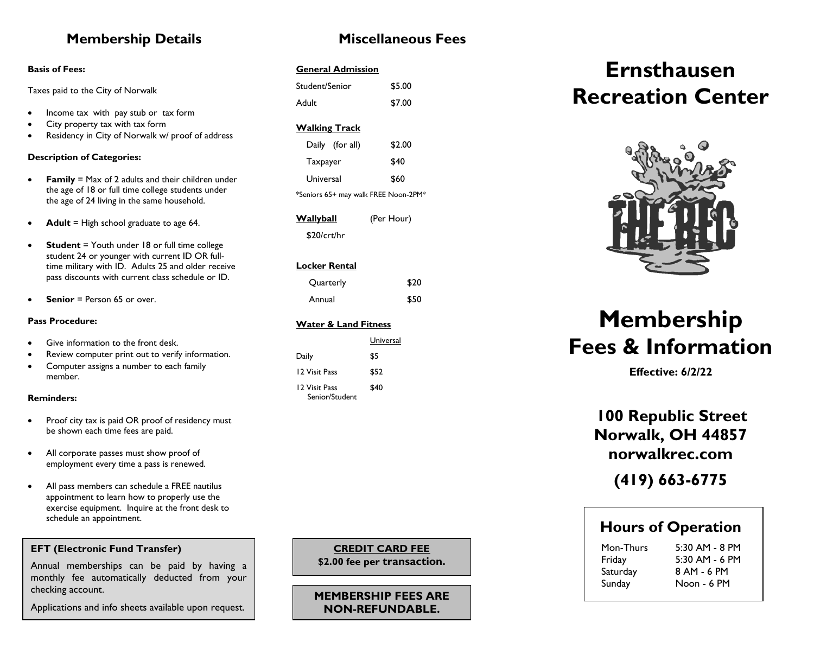## **Membership Details**

#### **Basis of Fees:**

Taxes paid to the City of Norwalk

- Income tax with pay stub or tax form
- City property tax with tax form
- Residency in City of Norwalk w/ proof of address

#### **Description of Categories:**

- **Family** = Max of 2 adults and their children under the age of 18 or full time college students under the age of 24 living in the same household.
- **Adult** = High school graduate to age 64.
- **Student** = Youth under 18 or full time college student 24 or younger with current ID OR fulltime military with ID. Adults 25 and older receive pass discounts with current class schedule or ID.
- **Senior** = Person 65 or over.

#### **Pass Procedure:**

- Give information to the front desk.
- Review computer print out to verify information.
- Computer assigns a number to each family member.

#### **Reminders:**

- Proof city tax is paid OR proof of residency must be shown each time fees are paid.
- All corporate passes must show proof of employment every time a pass is renewed.
- All pass members can schedule a FREE nautilus appointment to learn how to properly use the exercise equipment. Inquire at the front desk to schedule an appointment.

### **EFT (Electronic Fund Transfer)**

Annual memberships can be paid by having a monthly fee automatically deducted from your checking account.

Applications and info sheets available upon request.

## **Miscellaneous Fees**

### **General Admission**

| Student/Senior | \$5.00 |
|----------------|--------|
| Adult          | \$7.00 |

### **Walking Track**

| Daily (for all)                      | \$2.00 |  |
|--------------------------------------|--------|--|
| Taxpayer                             | \$40   |  |
| Universal                            | \$60   |  |
| *Seniors 65+ may walk FREE Noon-2PM* |        |  |

| <u>Wallyball</u> | (Per Hour) |
|------------------|------------|
| \$20/crt/hr      |            |

### **Locker Rental**

| Quarterly | \$20 |
|-----------|------|
| Annual    | \$50 |

#### **Water & Land Fitness**

|                                 | Universal |
|---------------------------------|-----------|
| Daily                           | \$5       |
| 12 Visit Pass                   | \$52      |
| 12 Visit Pass<br>Senior/Student | \$40      |

 **\$2.00 fee per transaction. CREDIT CARD FEE**

٦

**MEMBERSHIP FEES ARE NON-REFUNDABLE.**

**\$2.00 fee per transaction.**

## **Ernsthausen Recreation Center**



# **Membership Fees & Information**

**Effective: 6/2/22**

**100 Republic Street Norwalk, OH 44857 norwalkrec.com**

**(419) 663-6775**

## **Hours of Operation**

Saturday 8 AM - 6 PM Sunday Noon - 6 PM

Mon-Thurs 5:30 AM - 8 PM Friday 5:30 AM - 6 PM